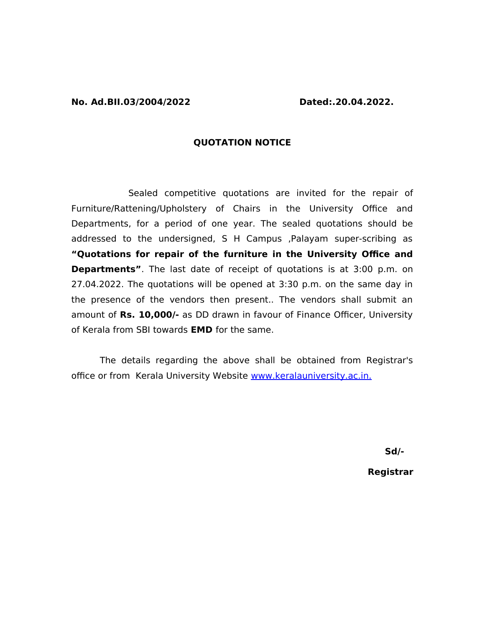## **QUOTATION NOTICE**

Sealed competitive quotations are invited for the repair of Furniture/Rattening/Upholstery of Chairs in the University Office and Departments, for a period of one year. The sealed quotations should be addressed to the undersigned, S H Campus ,Palayam super-scribing as **"Quotations for repair of the furniture in the University Office and Departments"**. The last date of receipt of quotations is at 3:00 p.m. on 27.04.2022. The quotations will be opened at 3:30 p.m. on the same day in the presence of the vendors then present.. The vendors shall submit an amount of **Rs. 10,000/-** as DD drawn in favour of Finance Officer, University of Kerala from SBI towards **EMD** for the same.

The details regarding the above shall be obtained from Registrar's office or from Kerala University Website [www.keralauniversity.ac.in.](http://www.keralauniversity.edu/)

**Sd/-** 

 **Registrar**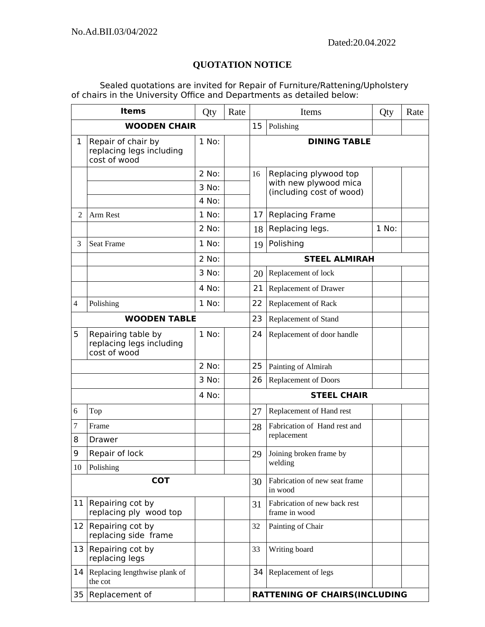## **QUOTATION NOTICE**

Sealed quotations are invited for Repair of Furniture/Rattening/Upholstery of chairs in the University Office and Departments as detailed below:

| <b>Items</b>        |                                                                | Qty     | Rate | Items              |                                                                            | Qty   | Rate |  |  |
|---------------------|----------------------------------------------------------------|---------|------|--------------------|----------------------------------------------------------------------------|-------|------|--|--|
| <b>WOODEN CHAIR</b> |                                                                |         | 15   | Polishing          |                                                                            |       |      |  |  |
| $\mathbf{1}$        | Repair of chair by<br>replacing legs including<br>cost of wood | 1 No:   |      |                    | <b>DINING TABLE</b>                                                        |       |      |  |  |
|                     |                                                                | 2 No:   |      | 16                 | Replacing plywood top<br>with new plywood mica<br>(including cost of wood) |       |      |  |  |
|                     |                                                                | 3 No:   |      |                    |                                                                            |       |      |  |  |
|                     |                                                                | 4 No:   |      |                    |                                                                            |       |      |  |  |
| $\overline{2}$      | Arm Rest                                                       | $1$ No: |      | 17 <sub>1</sub>    | <b>Replacing Frame</b>                                                     |       |      |  |  |
|                     |                                                                | 2 No:   |      | 18                 | Replacing legs.                                                            | 1 No: |      |  |  |
| 3                   | Seat Frame                                                     | 1 No:   |      | 19                 | Polishing                                                                  |       |      |  |  |
|                     |                                                                | 2 No:   |      |                    | <b>STEEL ALMIRAH</b>                                                       |       |      |  |  |
|                     |                                                                | 3 No:   |      | 20                 | Replacement of lock                                                        |       |      |  |  |
|                     |                                                                | 4 No:   |      | 21                 | Replacement of Drawer                                                      |       |      |  |  |
| 4                   | Polishing                                                      | $1$ No: |      | 22                 | Replacement of Rack                                                        |       |      |  |  |
| <b>WOODEN TABLE</b> |                                                                |         |      | 23                 | Replacement of Stand                                                       |       |      |  |  |
| 5                   | Repairing table by<br>replacing legs including<br>cost of wood | 1 No:   |      | 24                 | Replacement of door handle                                                 |       |      |  |  |
|                     |                                                                | 2 No:   |      | 25                 | Painting of Almirah                                                        |       |      |  |  |
|                     |                                                                | 3 No:   |      | 26                 | Replacement of Doors                                                       |       |      |  |  |
| 4 No:               |                                                                |         |      | <b>STEEL CHAIR</b> |                                                                            |       |      |  |  |
| 6                   | Top                                                            |         |      | 27                 | Replacement of Hand rest                                                   |       |      |  |  |
| 7                   | Frame                                                          |         |      | 28                 | Fabrication of Hand rest and<br>replacement                                |       |      |  |  |
| 8                   | <b>Drawer</b>                                                  |         |      |                    |                                                                            |       |      |  |  |
| 9                   | Repair of lock                                                 |         |      | 29                 | Joining broken frame by<br>welding                                         |       |      |  |  |
| 10                  | Polishing                                                      |         |      |                    |                                                                            |       |      |  |  |
| <b>COT</b>          |                                                                |         |      | 30                 | Fabrication of new seat frame<br>in wood                                   |       |      |  |  |
| 11                  | Repairing cot by<br>replacing ply wood top                     |         |      | 31                 | Fabrication of new back rest<br>frame in wood                              |       |      |  |  |
| 12                  | Repairing cot by<br>replacing side frame                       |         |      | 32                 | Painting of Chair                                                          |       |      |  |  |
|                     | 13 Repairing cot by<br>replacing legs                          |         |      | 33                 | Writing board                                                              |       |      |  |  |
| 14                  | Replacing lengthwise plank of<br>the cot                       |         |      | 34                 | Replacement of legs                                                        |       |      |  |  |
| 35                  | Replacement of                                                 |         |      |                    | <b>RATTENING OF CHAIRS(INCLUDING</b>                                       |       |      |  |  |